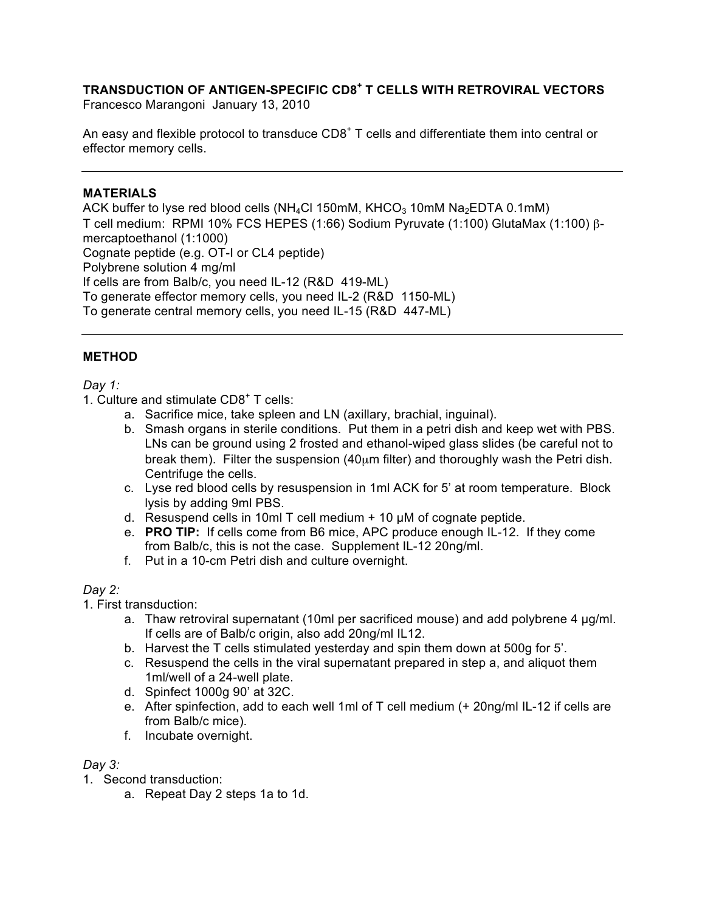# **TRANSDUCTION OF ANTIGEN-SPECIFIC CD8<sup>+</sup> T CELLS WITH RETROVIRAL VECTORS**

Francesco Marangoni January 13, 2010

An easy and flexible protocol to transduce  $CDB^+$  T cells and differentiate them into central or effector memory cells.

## **MATERIALS**

ACK buffer to lyse red blood cells (NH<sub>4</sub>Cl 150mM, KHCO<sub>3</sub> 10mM Na<sub>2</sub>EDTA 0.1mM) T cell medium: RPMI 10% FCS HEPES (1:66) Sodium Pyruvate (1:100) GlutaMax (1:100) βmercaptoethanol (1:1000) Cognate peptide (e.g. OT-I or CL4 peptide) Polybrene solution 4 mg/ml If cells are from Balb/c, you need IL-12 (R&D 419-ML) To generate effector memory cells, you need IL-2 (R&D 1150-ML) To generate central memory cells, you need IL-15 (R&D 447-ML)

## **METHOD**

### *Day 1:*

- 1. Culture and stimulate  $CDB^+$  T cells:
	- a. Sacrifice mice, take spleen and LN (axillary, brachial, inguinal).
	- b. Smash organs in sterile conditions. Put them in a petri dish and keep wet with PBS. LNs can be ground using 2 frosted and ethanol-wiped glass slides (be careful not to break them). Filter the suspension  $(40 \mu m)$  filter) and thoroughly wash the Petri dish. Centrifuge the cells.
	- c. Lyse red blood cells by resuspension in 1ml ACK for 5' at room temperature. Block lysis by adding 9ml PBS.
	- d. Resuspend cells in 10ml T cell medium  $+$  10  $\mu$ M of cognate peptide.
	- e. **PRO TIP:** If cells come from B6 mice, APC produce enough IL-12. If they come from Balb/c, this is not the case. Supplement IL-12 20ng/ml.
	- f. Put in a 10-cm Petri dish and culture overnight.

## *Day 2:*

1. First transduction:

- a. Thaw retroviral supernatant (10ml per sacrificed mouse) and add polybrene 4 µg/ml. If cells are of Balb/c origin, also add 20ng/ml IL12.
- b. Harvest the T cells stimulated yesterday and spin them down at 500g for 5'.
- c. Resuspend the cells in the viral supernatant prepared in step a, and aliquot them 1ml/well of a 24-well plate.
- d. Spinfect 1000g 90' at 32C.
- e. After spinfection, add to each well 1ml of T cell medium (+ 20ng/ml IL-12 if cells are from Balb/c mice).
- f. Incubate overnight.

### *Day 3:*

- 1. Second transduction:
	- a. Repeat Day 2 steps 1a to 1d.